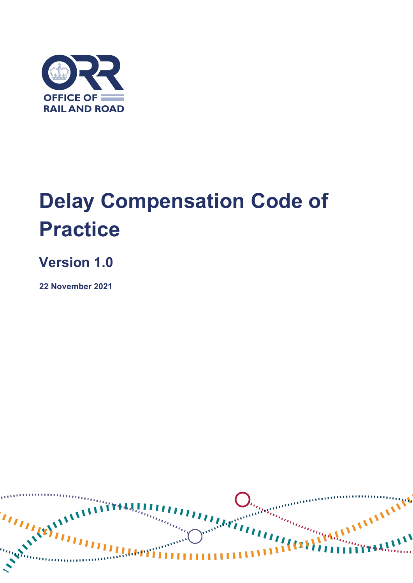

# **Delay Compensation Code of Practice**

### **Version 1.0**

**22 November 2021**

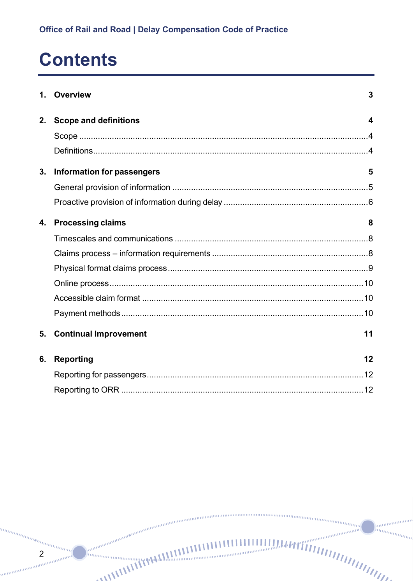## **Contents**

| 1. | <b>Overview</b>                   | 3  |
|----|-----------------------------------|----|
|    |                                   |    |
| 2. | <b>Scope and definitions</b>      | 4  |
|    |                                   |    |
|    |                                   |    |
| 3. | <b>Information for passengers</b> | 5  |
|    |                                   |    |
|    |                                   |    |
| 4. | <b>Processing claims</b>          | 8  |
|    |                                   |    |
|    |                                   |    |
|    |                                   |    |
|    |                                   |    |
|    |                                   |    |
|    |                                   |    |
| 5. | <b>Continual Improvement</b>      | 11 |
|    |                                   |    |
| 6. | Reporting                         | 12 |
|    |                                   |    |
|    |                                   |    |

**REAL AND THE REAL AND THE REAL AND THE REAL AND THE REAL AND THE REAL AND THE REAL AND THE REAL AND THE REAL AND THE REAL AND THE REAL AND THE REAL AND THE REAL AND THE REAL AND THE RE** 

inning

mm.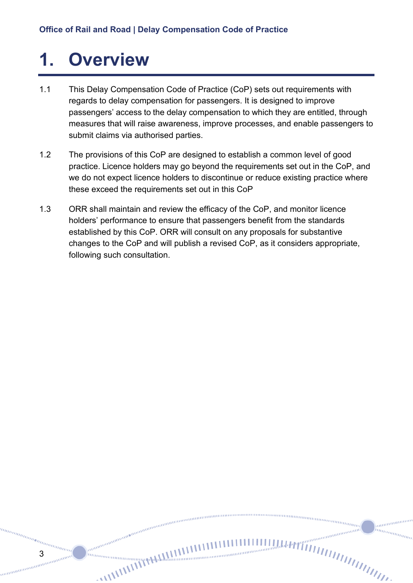### <span id="page-2-0"></span>**1. Overview**

3

anana

- 1.1 This Delay Compensation Code of Practice (CoP) sets out requirements with regards to delay compensation for passengers. It is designed to improve passengers' access to the delay compensation to which they are entitled, through measures that will raise awareness, improve processes, and enable passengers to submit claims via authorised parties.
- 1.2 The provisions of this CoP are designed to establish a common level of good practice. Licence holders may go beyond the requirements set out in the CoP, and we do not expect licence holders to discontinue or reduce existing practice where these exceed the requirements set out in this CoP
- 1.3 ORR shall maintain and review the efficacy of the CoP, and monitor licence holders' performance to ensure that passengers benefit from the standards established by this CoP. ORR will consult on any proposals for substantive changes to the CoP and will publish a revised CoP, as it considers appropriate, following such consultation.

nummumum

amm in<sub>nnn</sub>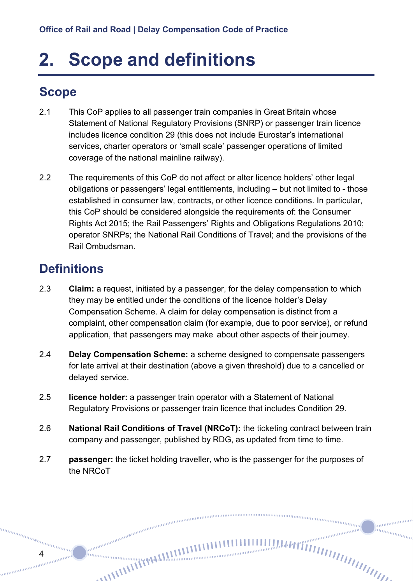### <span id="page-3-0"></span>**2. Scope and definitions**

#### <span id="page-3-1"></span>**Scope**

- 2.1 This CoP applies to all passenger train companies in Great Britain whose Statement of National Regulatory Provisions (SNRP) or passenger train licence includes licence condition 29 (this does not include Eurostar's international services, charter operators or 'small scale' passenger operations of limited coverage of the national mainline railway).
- 2.2 The requirements of this CoP do not affect or alter licence holders' other legal obligations or passengers' legal entitlements, including – but not limited to - those established in consumer law, contracts, or other licence conditions. In particular, this CoP should be considered alongside the requirements of: the Consumer Rights Act 2015; the Rail Passengers' Rights and Obligations Regulations 2010; operator SNRPs; the National Rail Conditions of Travel; and the provisions of the Rail Ombudsman.

#### <span id="page-3-2"></span>**Definitions**

4

- 2.3 **Claim:** a request, initiated by a passenger, for the delay compensation to which they may be entitled under the conditions of the licence holder's Delay Compensation Scheme. A claim for delay compensation is distinct from a complaint, other compensation claim (for example, due to poor service), or refund application, that passengers may make about other aspects of their journey.
- 2.4 **Delay Compensation Scheme:** a scheme designed to compensate passengers for late arrival at their destination (above a given threshold) due to a cancelled or delayed service.
- 2.5 **licence holder:** a passenger train operator with a Statement of National Regulatory Provisions or passenger train licence that includes Condition 29.
- 2.6 **National Rail Conditions of Travel (NRCoT):** the ticketing contract between train company and passenger, published by RDG, as updated from time to time.
- 2.7 **passenger:** the ticket holding traveller, who is the passenger for the purposes of the NRCoT

0000000000000000000000000

nummummum

annungan hum<sub>mmn</sub>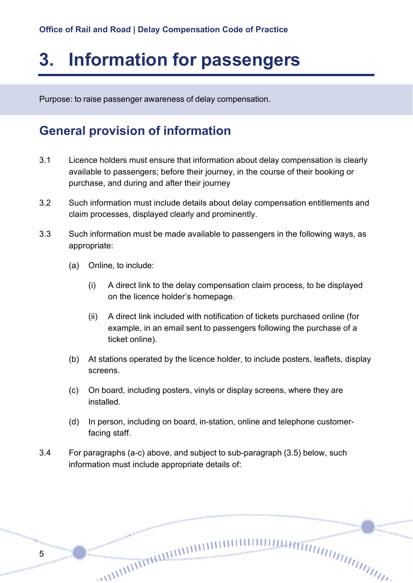## <span id="page-4-0"></span>**3. Information for passengers**

Purpose: to raise passenger awareness of delay compensation.

### <span id="page-4-1"></span>**General provision of information**

- 3.1 Licence holders must ensure that information about delay compensation is clearly available to passengers; before their journey, in the course of their booking or purchase, and during and after their journey
- 3.2 Such information must include details about delay compensation entitlements and claim processes, displayed clearly and prominently.
- 3.3 Such information must be made available to passengers in the following ways, as appropriate:
	- (a) Online, to include:

5

annan

- (i) A direct link to the delay compensation claim process, to be displayed on the licence holder's homepage.
- (ii) A direct link included with notification of tickets purchased online (for example, in an email sent to passengers following the purchase of a ticket online).
- (b) At stations operated by the licence holder, to include posters, leaflets, display screens.
- (c) On board, including posters, vinyls or display screens, where they are installed.
- (d) In person, including on board, in-station, online and telephone customerfacing staff.

ummmmm

anna

3.4 For paragraphs (a-c) above, and subject to sub-paragraph (3.5) below, such information must include appropriate details of: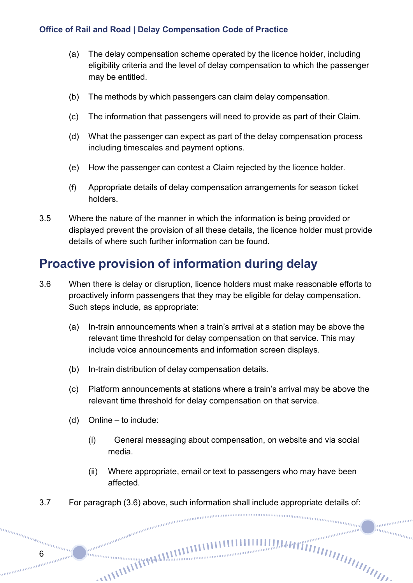#### **Office of Rail and Road | Delay Compensation Code of Practice**

- (a) The delay compensation scheme operated by the licence holder, including eligibility criteria and the level of delay compensation to which the passenger may be entitled.
- (b) The methods by which passengers can claim delay compensation.
- (c) The information that passengers will need to provide as part of their Claim.
- (d) What the passenger can expect as part of the delay compensation process including timescales and payment options.
- (e) How the passenger can contest a Claim rejected by the licence holder.
- (f) Appropriate details of delay compensation arrangements for season ticket holders.
- 3.5 Where the nature of the manner in which the information is being provided or displayed prevent the provision of all these details, the licence holder must provide details of where such further information can be found.

#### <span id="page-5-0"></span>**Proactive provision of information during delay**

- 3.6 When there is delay or disruption, licence holders must make reasonable efforts to proactively inform passengers that they may be eligible for delay compensation. Such steps include, as appropriate:
	- (a) In-train announcements when a train's arrival at a station may be above the relevant time threshold for delay compensation on that service. This may include voice announcements and information screen displays.
	- (b) In-train distribution of delay compensation details.
	- (c) Platform announcements at stations where a train's arrival may be above the relevant time threshold for delay compensation on that service.
	- (d) Online to include:

anana

6

- (i) General messaging about compensation, on website and via social media.
- (ii) Where appropriate, email or text to passengers who may have been affected.

nnnnnnnnnnan (

anananan hun<sub>tungan</sub>

3.7 For paragraph (3.6) above, such information shall include appropriate details of:<br> $m_{\mu\nu}$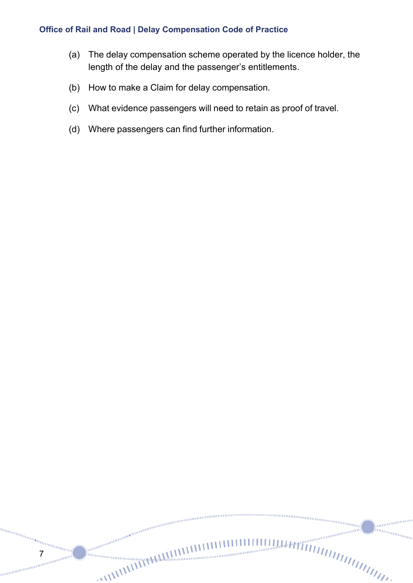#### **Office of Rail and Road | Delay Compensation Code of Practice**

- (a) The delay compensation scheme operated by the licence holder, the length of the delay and the passenger's entitlements.
- (b) How to make a Claim for delay compensation.
- (c) What evidence passengers will need to retain as proof of travel.

mummmmmmm

m<sub>annimmummummum</sub>

**CONTRACTATION** 

anni

(d) Where passengers can find further information.

anananananananan<br>7<br><sup>Janananananananananan</sup>

unun<sub>unununun</sub>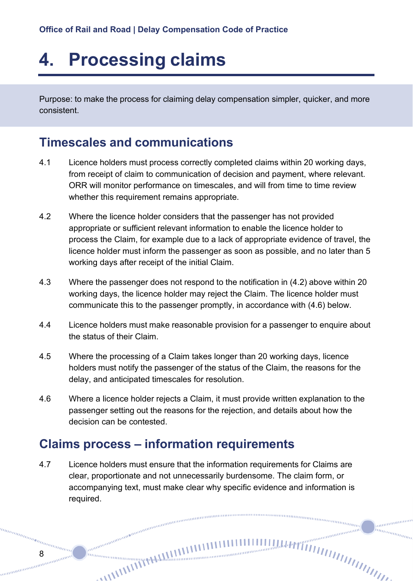## <span id="page-7-0"></span>**4. Processing claims**

Purpose: to make the process for claiming delay compensation simpler, quicker, and more consistent.

#### <span id="page-7-1"></span>**Timescales and communications**

- 4.1 Licence holders must process correctly completed claims within 20 working days, from receipt of claim to communication of decision and payment, where relevant. ORR will monitor performance on timescales, and will from time to time review whether this requirement remains appropriate.
- 4.2 Where the licence holder considers that the passenger has not provided appropriate or sufficient relevant information to enable the licence holder to process the Claim, for example due to a lack of appropriate evidence of travel, the licence holder must inform the passenger as soon as possible, and no later than 5 working days after receipt of the initial Claim.
- 4.3 Where the passenger does not respond to the notification in (4.2) above within 20 working days, the licence holder may reject the Claim. The licence holder must communicate this to the passenger promptly, in accordance with (4.6) below.
- 4.4 Licence holders must make reasonable provision for a passenger to enquire about the status of their Claim.
- 4.5 Where the processing of a Claim takes longer than 20 working days, licence holders must notify the passenger of the status of the Claim, the reasons for the delay, and anticipated timescales for resolution.
- 4.6 Where a licence holder rejects a Claim, it must provide written explanation to the passenger setting out the reasons for the rejection, and details about how the decision can be contested.

#### <span id="page-7-2"></span>**Claims process – information requirements**

4.7 Licence holders must ensure that the information requirements for Claims are clear, proportionate and not unnecessarily burdensome. The claim form, or accompanying text, must make clear why specific evidence and information is required.<br>
equired.<br>
and an annumality and an annumality and an annumality and an annumality and annumality and annumality

annumun hum<sub>mmn</sub>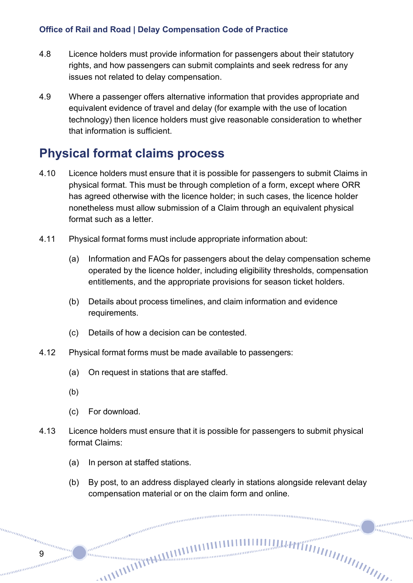#### **Office of Rail and Road | Delay Compensation Code of Practice**

- 4.8 Licence holders must provide information for passengers about their statutory rights, and how passengers can submit complaints and seek redress for any issues not related to delay compensation.
- 4.9 Where a passenger offers alternative information that provides appropriate and equivalent evidence of travel and delay (for example with the use of location technology) then licence holders must give reasonable consideration to whether that information is sufficient.

#### <span id="page-8-0"></span>**Physical format claims process**

- 4.10 Licence holders must ensure that it is possible for passengers to submit Claims in physical format. This must be through completion of a form, except where ORR has agreed otherwise with the licence holder; in such cases, the licence holder nonetheless must allow submission of a Claim through an equivalent physical format such as a letter.
- 4.11 Physical format forms must include appropriate information about:
	- (a) Information and FAQs for passengers about the delay compensation scheme operated by the licence holder, including eligibility thresholds, compensation entitlements, and the appropriate provisions for season ticket holders.
	- (b) Details about process timelines, and claim information and evidence requirements.
	- (c) Details of how a decision can be contested.
- 4.12 Physical format forms must be made available to passengers:

- (a) On request in stations that are staffed.
- (b)

9

(c) For download.

annonomo

- 4.13 Licence holders must ensure that it is possible for passengers to submit physical format Claims:
	- (a) In person at staffed stations.
	- (b) By post, to an address displayed clearly in stations alongside relevant delay compensation material or on the claim form and online.

nunnununung<br><sup>nunnununun</sup>unun

annumun hum<sub>mmn</sub>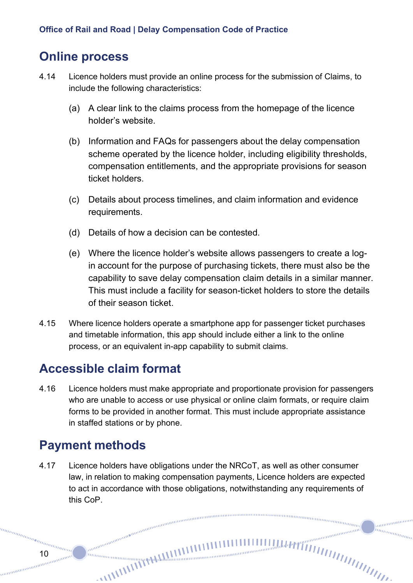#### <span id="page-9-0"></span>**Online process**

- 4.14 Licence holders must provide an online process for the submission of Claims, to include the following characteristics:
	- (a) A clear link to the claims process from the homepage of the licence holder's website.
	- (b) Information and FAQs for passengers about the delay compensation scheme operated by the licence holder, including eligibility thresholds, compensation entitlements, and the appropriate provisions for season ticket holders.
	- (c) Details about process timelines, and claim information and evidence requirements.
	- (d) Details of how a decision can be contested.
	- (e) Where the licence holder's website allows passengers to create a login account for the purpose of purchasing tickets, there must also be the capability to save delay compensation claim details in a similar manner. This must include a facility for season-ticket holders to store the details of their season ticket.
- 4.15 Where licence holders operate a smartphone app for passenger ticket purchases and timetable information, this app should include either a link to the online process, or an equivalent in-app capability to submit claims.

#### <span id="page-9-1"></span>**Accessible claim format**

4.16 Licence holders must make appropriate and proportionate provision for passengers who are unable to access or use physical or online claim formats, or require claim forms to be provided in another format. This must include appropriate assistance in staffed stations or by phone.

#### <span id="page-9-2"></span>**Payment methods**

annonomo

4.17 Licence holders have obligations under the NRCoT, as well as other consumer law, in relation to making compensation payments, Licence holders are expected to act in accordance with those obligations, notwithstanding any requirements of this CoP.

nanaanaanaa

annumum hum<sub>mmn</sub>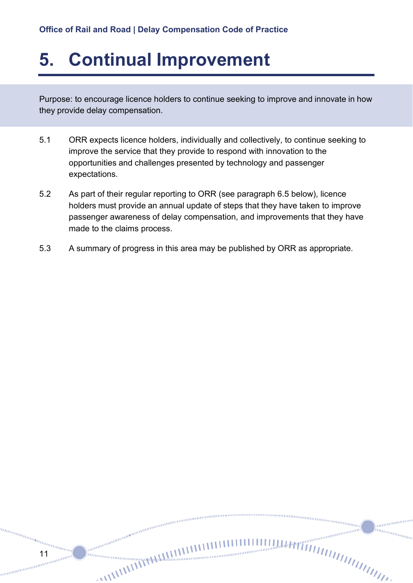### <span id="page-10-0"></span>**5. Continual Improvement**

11

annan

Purpose: to encourage licence holders to continue seeking to improve and innovate in how they provide delay compensation.

- 5.1 ORR expects licence holders, individually and collectively, to continue seeking to improve the service that they provide to respond with innovation to the opportunities and challenges presented by technology and passenger expectations.
- 5.2 As part of their regular reporting to ORR (see paragraph 6.5 below), licence holders must provide an annual update of steps that they have taken to improve passenger awareness of delay compensation, and improvements that they have made to the claims process.
- 5.3 A summary of progress in this area may be published by ORR as appropriate.

nummunum

muni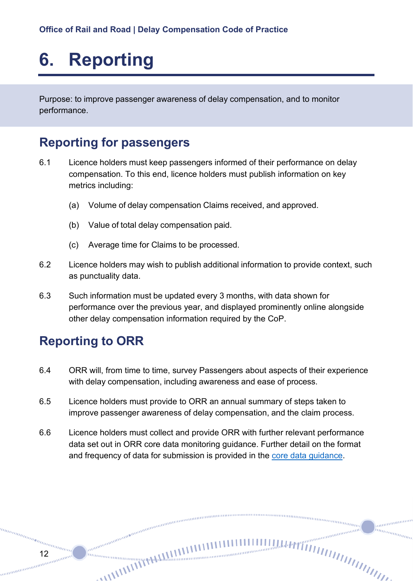## <span id="page-11-0"></span>**6. Reporting**

Purpose: to improve passenger awareness of delay compensation, and to monitor performance.

#### <span id="page-11-1"></span>**Reporting for passengers**

- 6.1 Licence holders must keep passengers informed of their performance on delay compensation. To this end, licence holders must publish information on key metrics including:
	- (a) Volume of delay compensation Claims received, and approved.
	- (b) Value of total delay compensation paid.
	- (c) Average time for Claims to be processed.
- 6.2 Licence holders may wish to publish additional information to provide context, such as punctuality data.
- 6.3 Such information must be updated every 3 months, with data shown for performance over the previous year, and displayed prominently online alongside other delay compensation information required by the CoP.

### <span id="page-11-2"></span>**Reporting to ORR**

annonomo

- 6.4 ORR will, from time to time, survey Passengers about aspects of their experience with delay compensation, including awareness and ease of process.
- 6.5 Licence holders must provide to ORR an annual summary of steps taken to improve passenger awareness of delay compensation, and the claim process.
- 6.6 Licence holders must collect and provide ORR with further relevant performance data set out in ORR core data monitoring guidance. Further detail on the format and frequency of data for submission is provided in the [core data guidance.](https://www.orr.gov.uk/sites/default/files/om/reference-guide-orr-core-data-compliance-monitoring.pdf)

nummunum